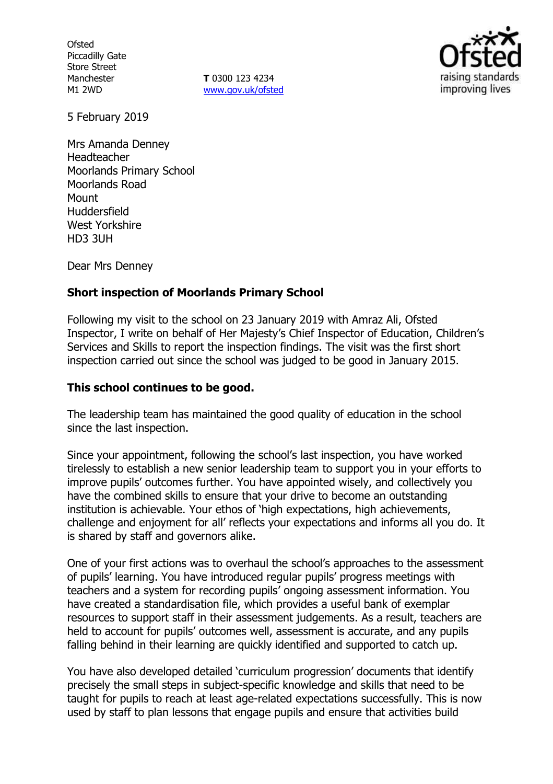**Ofsted** Piccadilly Gate Store Street Manchester M1 2WD

**T** 0300 123 4234 www.gov.uk/ofsted



5 February 2019

Mrs Amanda Denney Headteacher Moorlands Primary School Moorlands Road **Mount** Huddersfield West Yorkshire HD3 3UH

Dear Mrs Denney

### **Short inspection of Moorlands Primary School**

Following my visit to the school on 23 January 2019 with Amraz Ali, Ofsted Inspector, I write on behalf of Her Majesty's Chief Inspector of Education, Children's Services and Skills to report the inspection findings. The visit was the first short inspection carried out since the school was judged to be good in January 2015.

#### **This school continues to be good.**

The leadership team has maintained the good quality of education in the school since the last inspection.

Since your appointment, following the school's last inspection, you have worked tirelessly to establish a new senior leadership team to support you in your efforts to improve pupils' outcomes further. You have appointed wisely, and collectively you have the combined skills to ensure that your drive to become an outstanding institution is achievable. Your ethos of 'high expectations, high achievements, challenge and enjoyment for all' reflects your expectations and informs all you do. It is shared by staff and governors alike.

One of your first actions was to overhaul the school's approaches to the assessment of pupils' learning. You have introduced regular pupils' progress meetings with teachers and a system for recording pupils' ongoing assessment information. You have created a standardisation file, which provides a useful bank of exemplar resources to support staff in their assessment judgements. As a result, teachers are held to account for pupils' outcomes well, assessment is accurate, and any pupils falling behind in their learning are quickly identified and supported to catch up.

You have also developed detailed 'curriculum progression' documents that identify precisely the small steps in subject-specific knowledge and skills that need to be taught for pupils to reach at least age-related expectations successfully. This is now used by staff to plan lessons that engage pupils and ensure that activities build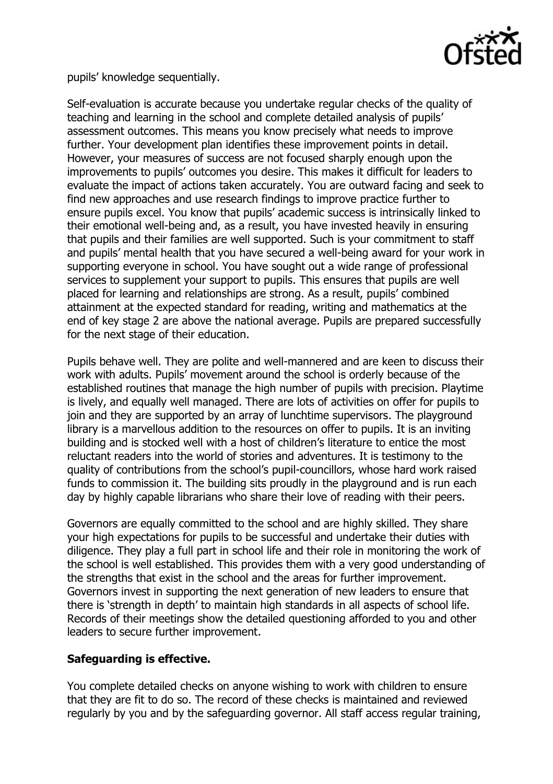

pupils' knowledge sequentially.

Self-evaluation is accurate because you undertake regular checks of the quality of teaching and learning in the school and complete detailed analysis of pupils' assessment outcomes. This means you know precisely what needs to improve further. Your development plan identifies these improvement points in detail. However, your measures of success are not focused sharply enough upon the improvements to pupils' outcomes you desire. This makes it difficult for leaders to evaluate the impact of actions taken accurately. You are outward facing and seek to find new approaches and use research findings to improve practice further to ensure pupils excel. You know that pupils' academic success is intrinsically linked to their emotional well-being and, as a result, you have invested heavily in ensuring that pupils and their families are well supported. Such is your commitment to staff and pupils' mental health that you have secured a well-being award for your work in supporting everyone in school. You have sought out a wide range of professional services to supplement your support to pupils. This ensures that pupils are well placed for learning and relationships are strong. As a result, pupils' combined attainment at the expected standard for reading, writing and mathematics at the end of key stage 2 are above the national average. Pupils are prepared successfully for the next stage of their education.

Pupils behave well. They are polite and well-mannered and are keen to discuss their work with adults. Pupils' movement around the school is orderly because of the established routines that manage the high number of pupils with precision. Playtime is lively, and equally well managed. There are lots of activities on offer for pupils to join and they are supported by an array of lunchtime supervisors. The playground library is a marvellous addition to the resources on offer to pupils. It is an inviting building and is stocked well with a host of children's literature to entice the most reluctant readers into the world of stories and adventures. It is testimony to the quality of contributions from the school's pupil-councillors, whose hard work raised funds to commission it. The building sits proudly in the playground and is run each day by highly capable librarians who share their love of reading with their peers.

Governors are equally committed to the school and are highly skilled. They share your high expectations for pupils to be successful and undertake their duties with diligence. They play a full part in school life and their role in monitoring the work of the school is well established. This provides them with a very good understanding of the strengths that exist in the school and the areas for further improvement. Governors invest in supporting the next generation of new leaders to ensure that there is 'strength in depth' to maintain high standards in all aspects of school life. Records of their meetings show the detailed questioning afforded to you and other leaders to secure further improvement.

### **Safeguarding is effective.**

You complete detailed checks on anyone wishing to work with children to ensure that they are fit to do so. The record of these checks is maintained and reviewed regularly by you and by the safeguarding governor. All staff access regular training,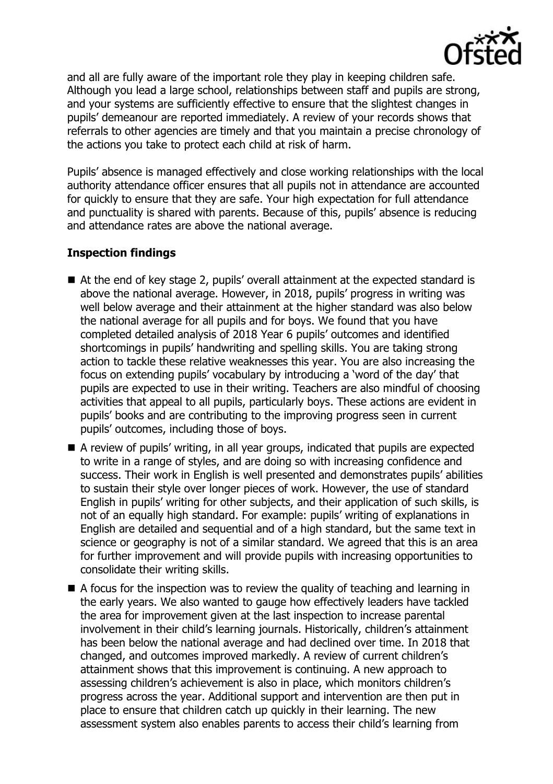

and all are fully aware of the important role they play in keeping children safe. Although you lead a large school, relationships between staff and pupils are strong, and your systems are sufficiently effective to ensure that the slightest changes in pupils' demeanour are reported immediately. A review of your records shows that referrals to other agencies are timely and that you maintain a precise chronology of the actions you take to protect each child at risk of harm.

Pupils' absence is managed effectively and close working relationships with the local authority attendance officer ensures that all pupils not in attendance are accounted for quickly to ensure that they are safe. Your high expectation for full attendance and punctuality is shared with parents. Because of this, pupils' absence is reducing and attendance rates are above the national average.

## **Inspection findings**

- At the end of key stage 2, pupils' overall attainment at the expected standard is above the national average. However, in 2018, pupils' progress in writing was well below average and their attainment at the higher standard was also below the national average for all pupils and for boys. We found that you have completed detailed analysis of 2018 Year 6 pupils' outcomes and identified shortcomings in pupils' handwriting and spelling skills. You are taking strong action to tackle these relative weaknesses this year. You are also increasing the focus on extending pupils' vocabulary by introducing a 'word of the day' that pupils are expected to use in their writing. Teachers are also mindful of choosing activities that appeal to all pupils, particularly boys. These actions are evident in pupils' books and are contributing to the improving progress seen in current pupils' outcomes, including those of boys.
- A review of pupils' writing, in all year groups, indicated that pupils are expected to write in a range of styles, and are doing so with increasing confidence and success. Their work in English is well presented and demonstrates pupils' abilities to sustain their style over longer pieces of work. However, the use of standard English in pupils' writing for other subjects, and their application of such skills, is not of an equally high standard. For example: pupils' writing of explanations in English are detailed and sequential and of a high standard, but the same text in science or geography is not of a similar standard. We agreed that this is an area for further improvement and will provide pupils with increasing opportunities to consolidate their writing skills.
- $\blacksquare$  A focus for the inspection was to review the quality of teaching and learning in the early years. We also wanted to gauge how effectively leaders have tackled the area for improvement given at the last inspection to increase parental involvement in their child's learning journals. Historically, children's attainment has been below the national average and had declined over time. In 2018 that changed, and outcomes improved markedly. A review of current children's attainment shows that this improvement is continuing. A new approach to assessing children's achievement is also in place, which monitors children's progress across the year. Additional support and intervention are then put in place to ensure that children catch up quickly in their learning. The new assessment system also enables parents to access their child's learning from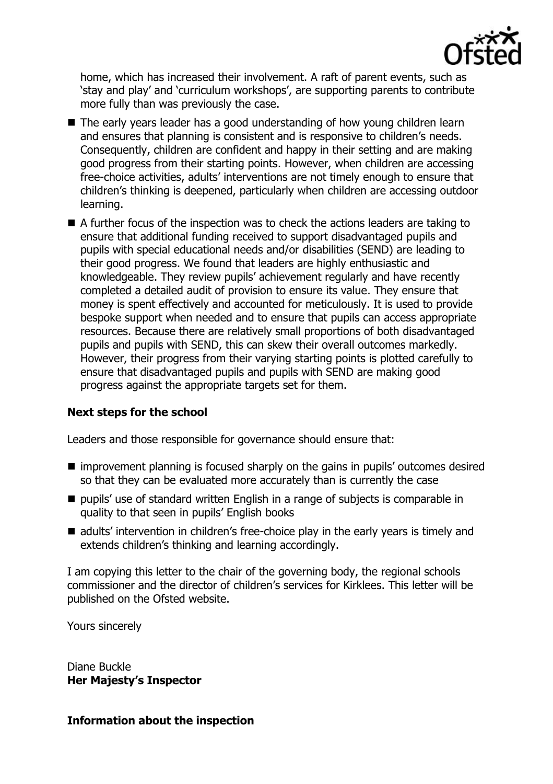

home, which has increased their involvement. A raft of parent events, such as 'stay and play' and 'curriculum workshops', are supporting parents to contribute more fully than was previously the case.

- The early years leader has a good understanding of how young children learn and ensures that planning is consistent and is responsive to children's needs. Consequently, children are confident and happy in their setting and are making good progress from their starting points. However, when children are accessing free-choice activities, adults' interventions are not timely enough to ensure that children's thinking is deepened, particularly when children are accessing outdoor learning.
- A further focus of the inspection was to check the actions leaders are taking to ensure that additional funding received to support disadvantaged pupils and pupils with special educational needs and/or disabilities (SEND) are leading to their good progress. We found that leaders are highly enthusiastic and knowledgeable. They review pupils' achievement regularly and have recently completed a detailed audit of provision to ensure its value. They ensure that money is spent effectively and accounted for meticulously. It is used to provide bespoke support when needed and to ensure that pupils can access appropriate resources. Because there are relatively small proportions of both disadvantaged pupils and pupils with SEND, this can skew their overall outcomes markedly. However, their progress from their varying starting points is plotted carefully to ensure that disadvantaged pupils and pupils with SEND are making good progress against the appropriate targets set for them.

# **Next steps for the school**

Leaders and those responsible for governance should ensure that:

- improvement planning is focused sharply on the gains in pupils' outcomes desired so that they can be evaluated more accurately than is currently the case
- $\blacksquare$  pupils' use of standard written English in a range of subjects is comparable in quality to that seen in pupils' English books
- adults' intervention in children's free-choice play in the early years is timely and extends children's thinking and learning accordingly.

I am copying this letter to the chair of the governing body, the regional schools commissioner and the director of children's services for Kirklees. This letter will be published on the Ofsted website.

Yours sincerely

Diane Buckle **Her Majesty's Inspector**

### **Information about the inspection**